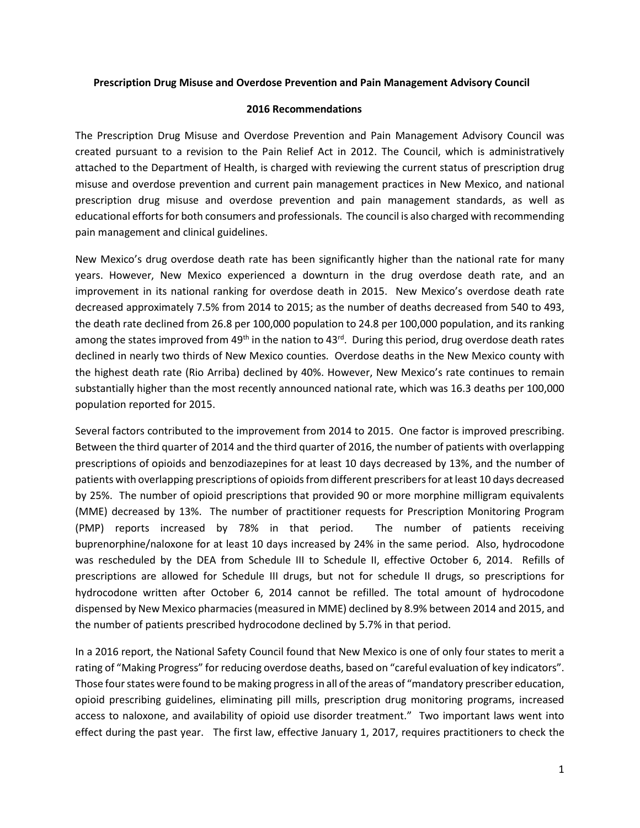## **Prescription Drug Misuse and Overdose Prevention and Pain Management Advisory Council**

## **2016 Recommendations**

The Prescription Drug Misuse and Overdose Prevention and Pain Management Advisory Council was created pursuant to a revision to the Pain Relief Act in 2012. The Council, which is administratively attached to the Department of Health, is charged with reviewing the current status of prescription drug misuse and overdose prevention and current pain management practices in New Mexico, and national prescription drug misuse and overdose prevention and pain management standards, as well as educational efforts for both consumers and professionals. The council is also charged with recommending pain management and clinical guidelines.

New Mexico's drug overdose death rate has been significantly higher than the national rate for many years. However, New Mexico experienced a downturn in the drug overdose death rate, and an improvement in its national ranking for overdose death in 2015. New Mexico's overdose death rate decreased approximately 7.5% from 2014 to 2015; as the number of deaths decreased from 540 to 493, the death rate declined from 26.8 per 100,000 population to 24.8 per 100,000 population, and its ranking among the states improved from 49<sup>th</sup> in the nation to 43<sup>rd</sup>. During this period, drug overdose death rates declined in nearly two thirds of New Mexico counties. Overdose deaths in the New Mexico county with the highest death rate (Rio Arriba) declined by 40%. However, New Mexico's rate continues to remain substantially higher than the most recently announced national rate, which was 16.3 deaths per 100,000 population reported for 2015.

Several factors contributed to the improvement from 2014 to 2015. One factor is improved prescribing. Between the third quarter of 2014 and the third quarter of 2016, the number of patients with overlapping prescriptions of opioids and benzodiazepines for at least 10 days decreased by 13%, and the number of patients with overlapping prescriptions of opioids from different prescribers for at least 10 days decreased by 25%. The number of opioid prescriptions that provided 90 or more morphine milligram equivalents (MME) decreased by 13%. The number of practitioner requests for Prescription Monitoring Program (PMP) reports increased by 78% in that period. The number of patients receiving buprenorphine/naloxone for at least 10 days increased by 24% in the same period. Also, hydrocodone was rescheduled by the DEA from Schedule III to Schedule II, effective October 6, 2014. Refills of prescriptions are allowed for Schedule III drugs, but not for schedule II drugs, so prescriptions for hydrocodone written after October 6, 2014 cannot be refilled. The total amount of hydrocodone dispensed by New Mexico pharmacies (measured in MME) declined by 8.9% between 2014 and 2015, and the number of patients prescribed hydrocodone declined by 5.7% in that period.

In a 2016 report, the National Safety Council found that New Mexico is one of only four states to merit a rating of "Making Progress" for reducing overdose deaths, based on "careful evaluation of key indicators". Those four states were found to be making progress in all of the areas of "mandatory prescriber education, opioid prescribing guidelines, eliminating pill mills, prescription drug monitoring programs, increased access to naloxone, and availability of opioid use disorder treatment." Two important laws went into effect during the past year. The first law, effective January 1, 2017, requires practitioners to check the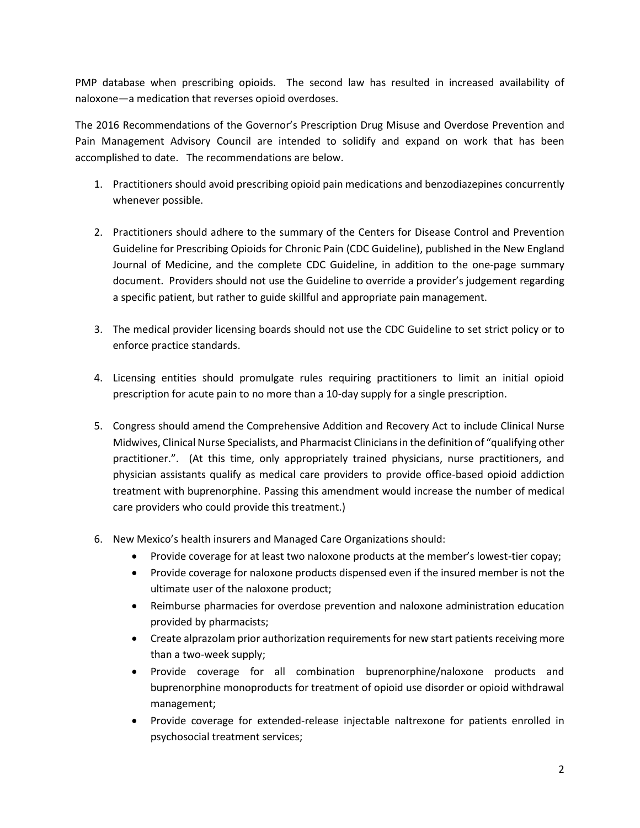PMP database when prescribing opioids. The second law has resulted in increased availability of naloxone—a medication that reverses opioid overdoses.

The 2016 Recommendations of the Governor's Prescription Drug Misuse and Overdose Prevention and Pain Management Advisory Council are intended to solidify and expand on work that has been accomplished to date. The recommendations are below.

- 1. Practitioners should avoid prescribing opioid pain medications and benzodiazepines concurrently whenever possible.
- 2. Practitioners should adhere to the summary of the Centers for Disease Control and Prevention Guideline for Prescribing Opioids for Chronic Pain (CDC Guideline), published in the New England Journal of Medicine, and the complete CDC Guideline, in addition to the one-page summary document. Providers should not use the Guideline to override a provider's judgement regarding a specific patient, but rather to guide skillful and appropriate pain management.
- 3. The medical provider licensing boards should not use the CDC Guideline to set strict policy or to enforce practice standards.
- 4. Licensing entities should promulgate rules requiring practitioners to limit an initial opioid prescription for acute pain to no more than a 10-day supply for a single prescription.
- 5. Congress should amend the Comprehensive Addition and Recovery Act to include Clinical Nurse Midwives, Clinical Nurse Specialists, and Pharmacist Clinicians in the definition of "qualifying other practitioner.". (At this time, only appropriately trained physicians, nurse practitioners, and physician assistants qualify as medical care providers to provide office-based opioid addiction treatment with buprenorphine. Passing this amendment would increase the number of medical care providers who could provide this treatment.)
- 6. New Mexico's health insurers and Managed Care Organizations should:
	- Provide coverage for at least two naloxone products at the member's lowest-tier copay;
	- Provide coverage for naloxone products dispensed even if the insured member is not the ultimate user of the naloxone product;
	- Reimburse pharmacies for overdose prevention and naloxone administration education provided by pharmacists;
	- Create alprazolam prior authorization requirements for new start patients receiving more than a two-week supply;
	- Provide coverage for all combination buprenorphine/naloxone products and buprenorphine monoproducts for treatment of opioid use disorder or opioid withdrawal management;
	- Provide coverage for extended-release injectable naltrexone for patients enrolled in psychosocial treatment services;